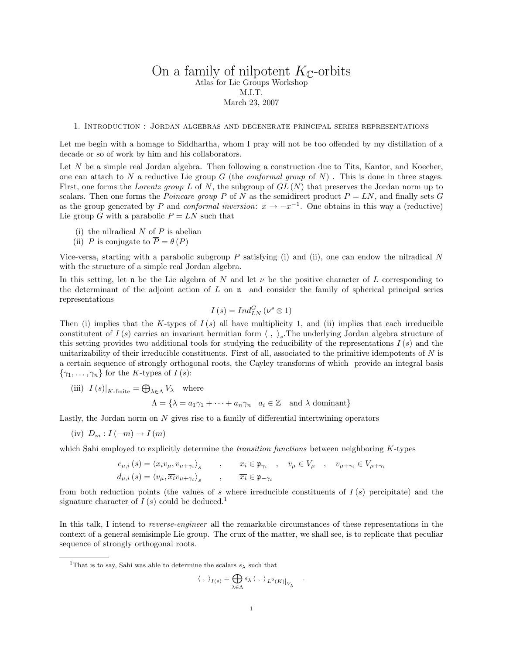# On a family of nilpotent  $K_{\mathbb{C}}$ -orbits Atlas for Lie Groups Workshop M.I.T. March 23, 2007

1. Introduction : Jordan algebras and degenerate principal series representations

Let me begin with a homage to Siddhartha, whom I pray will not be too offended by my distillation of a decade or so of work by him and his collaborators.

Let N be a simple real Jordan algebra. Then following a construction due to Tits, Kantor, and Koecher, one can attach to N a reductive Lie group G (the *conformal group* of N). This is done in three stages. First, one forms the Lorentz group L of N, the subgroup of  $GL(N)$  that preserves the Jordan norm up to scalars. Then one forms the *Poincare group* P of N as the semidirect product  $P = LN$ , and finally sets G as the group generated by P and conformal inversion:  $x \to -x^{-1}$ . One obtains in this way a (reductive) Lie group G with a parabolic  $P = LN$  such that

- (i) the nilradical  $N$  of  $P$  is abelian
- (ii) P is conjugate to  $\overline{P} = \theta(P)$

Vice-versa, starting with a parabolic subgroup  $P$  satisfying (i) and (ii), one can endow the nilradical  $N$ with the structure of a simple real Jordan algebra.

In this setting, let n be the Lie algebra of N and let  $\nu$  be the positive character of L corresponding to the determinant of the adjoint action of  $L$  on  $\mathfrak n$  and consider the family of spherical principal series representations

$$
I(s) = Ind_{LN}^{G} (\nu^{s} \otimes 1)
$$

Then (i) implies that the K-types of  $I(s)$  all have multiplicity 1, and (ii) implies that each irreducible constitutent of  $I(s)$  carries an invariant hermitian form  $\langle , \rangle_s$ . The underlying Jordan algebra structure of this setting provides two additional tools for studying the reducibility of the representations  $I(s)$  and the unitarizability of their irreducible constituents. First of all, associated to the primitive idempotents of  $N$  is a certain sequence of strongly orthogonal roots, the Cayley transforms of which provide an integral basis  $\{\gamma_1,\ldots,\gamma_n\}$  for the K-types of  $I(s)$ :

(iii)  $I(s)|_{K\text{-finite}} = \bigoplus_{\lambda \in \Lambda} V_{\lambda}$  where

$$
\Lambda = \{ \lambda = a_1 \gamma_1 + \dots + a_n \gamma_n \mid a_i \in \mathbb{Z} \text{ and } \lambda \text{ dominant} \}
$$

Lastly, the Jordan norm on  $N$  gives rise to a family of differential intertwining operators

 $(iv)$   $D_m: I(-m) \rightarrow I(m)$ 

which Sahi employed to explicitly determine the *transition functions* between neighboring K-types

$$
c_{\mu,i}(s) = \langle x_i v_{\mu}, v_{\mu + \gamma_i} \rangle_s, \qquad x_i \in \mathfrak{p}_{\gamma_i}, \qquad v_{\mu} \in V_{\mu}, \qquad v_{\mu + \gamma_i} \in V_{\mu + \gamma_i}
$$
  

$$
d_{\mu,i}(s) = \langle v_{\mu}, \overline{x_i} v_{\mu + \gamma_i} \rangle_s, \qquad \overline{x_i} \in \mathfrak{p}_{-\gamma_i}
$$

from both reduction points (the values of s where irreducible constituents of  $I(s)$  percipitate) and the signature character of  $I(s)$  could be deduced.<sup>1</sup>

In this talk, I intend to reverse-engineer all the remarkable circumstances of these representations in the context of a general semisimple Lie group. The crux of the matter, we shall see, is to replicate that peculiar sequence of strongly orthogonal roots.

<sup>1</sup>That is to say, Sahi was able to determine the scalars  $s_\lambda$  such that

 $\langle$ 

$$
,\;\rangle_{I(s)}=\bigoplus_{\lambda\in\Lambda} s_\lambda\left\langle\;,\;\right\rangle_{L^2(K)\big|_{V_\lambda}}
$$

.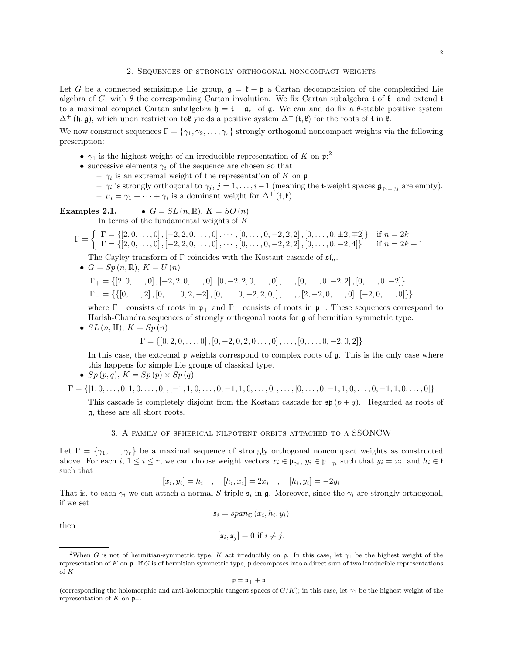### 2. Sequences of strongly orthogonal noncompact weights

Let G be a connected semisimple Lie group,  $\mathfrak{g} = \mathfrak{k} + \mathfrak{p}$  a Cartan decomposition of the complexified Lie algebra of G, with  $\theta$  the corresponding Cartan involution. We fix Cartan subalgebra t of  $\mathfrak{k}$  and extend t to a maximal compact Cartan subalgebra  $\mathfrak{h} = \mathfrak{t} + \mathfrak{a}_c$  of  $\mathfrak{g}$ . We can and do fix a  $\theta$ -stable positive system  $\Delta^+$  (h, g), which upon restriction to the yields a positive system  $\Delta^+$  (t, t) for the roots of t in t.

We now construct sequences  $\Gamma = \{\gamma_1, \gamma_2, \ldots, \gamma_r\}$  strongly orthogonal noncompact weights via the following prescription:

- $\gamma_1$  is the highest weight of an irreducible representation of K on  $\mathfrak{p};^2$
- successive elements  $\gamma_i$  of the sequence are chosen so that
	- $\gamma_i$  is an extremal weight of the representation of K on p
	- $\gamma_i$  is strongly orthogonal to  $\gamma_j$ ,  $j = 1, \ldots, i-1$  (meaning the t-weight spaces  $\mathfrak{g}_{\gamma_i \pm \gamma_j}$  are empty).
	- $-\mu_i = \gamma_1 + \cdots + \gamma_i$  is a dominant weight for  $\Delta^+$  (t, t).

**Examples 2.1.**   
• 
$$
G = SL(n, \mathbb{R}), K = SO(n)
$$

In terms of the fundamental weights of  $K$ 

$$
\Gamma = \left\{ \begin{array}{l} \Gamma = \{ [2, 0, \dots, 0], [-2, 2, 0, \dots, 0], \dots, [0, \dots, 0, -2, 2, 2], [0, \dots, 0, \pm 2, \mp 2] \} & \text{if } n = 2k \\ \Gamma = \{ [2, 0, \dots, 0], [-2, 2, 0, \dots, 0], \dots, [0, \dots, 0, -2, 2, 2], [0, \dots, 0, -2, 4] \} & \text{if } n = 2k + 1 \end{array} \right.
$$

The Cayley transform of  $\Gamma$  coincides with the Kostant cascade of  $\mathfrak{sl}_n$ .

•  $G = Sp(n, \mathbb{R}), K = U(n)$ 

$$
\Gamma_+ = \{ [2, 0, \ldots, 0], [-2, 2, 0, \ldots, 0], [0, -2, 2, 0, \ldots, 0], \ldots, [0, \ldots, 0, -2, 2], [0, \ldots, 0, -2] \}
$$
  

$$
\Gamma_- = \{ \{ [0, \ldots, 2], [0, \ldots, 0, 2, -2], [0, \ldots, 0, -2, 2, 0,], \ldots, , [2, -2, 0, \ldots, 0] \cdot [-2, 0, \ldots, 0] \} \}
$$

where  $\Gamma_+$  consists of roots in  $\mathfrak{p}_+$  and  $\Gamma_-$  consists of roots in  $\mathfrak{p}_-$ . These sequences correspond to Harish-Chandra sequences of strongly orthogonal roots for g of hermitian symmetric type.

•  $SL(n, \mathbb{H}), K = Sp(n)$ 

$$
\Gamma = \{ [0, 2, 0, \dots, 0], [0, -2, 0, 2, 0, \dots, 0], \dots, [0, \dots, 0, -2, 0, 2] \}
$$

In this case, the extremal  $\mathfrak p$  weights correspond to complex roots of  $\mathfrak g$ . This is the only case where this happens for simple Lie groups of classical type.

•  $Sp(p,q), K = Sp(p) \times Sp(q)$ 

$$
\Gamma = \{ [1, 0, \ldots, 0; 1, 0, \ldots, 0], [-1, 1, 0, \ldots, 0; -1, 1, 0, \ldots, 0], \ldots, [0, \ldots, 0, -1, 1; 0, \ldots, 0, -1, 1, 0, \ldots, 0] \}
$$

This cascade is completely disjoint from the Kostant cascade for  $\mathfrak{sp}(p+q)$ . Regarded as roots of g, these are all short roots.

## 3. A family of spherical nilpotent orbits attached to a SSONCW

Let  $\Gamma = \{\gamma_1, \ldots, \gamma_r\}$  be a maximal sequence of strongly orthogonal noncompact weights as constructed above. For each  $i, 1 \leq i \leq r$ , we can choose weight vectors  $x_i \in \mathfrak{p}_{\gamma_i}$ ,  $y_i \in \mathfrak{p}_{-\gamma_i}$  such that  $y_i = \overline{x_i}$ , and  $h_i \in \mathfrak{t}$ such that

$$
[x_i, y_i] = h_i
$$
,  $[h_i, x_i] = 2x_i$ ,  $[h_i, y_i] = -2y_i$ 

That is, to each  $\gamma_i$  we can attach a normal S-triple  $\mathfrak{s}_i$  in  $\mathfrak{g}$ . Moreover, since the  $\gamma_i$  are strongly orthogonal, if we set

$$
\mathfrak{s}_i = span_{\mathbb{C}}(x_i, h_i, y_i)
$$

then

$$
[\mathfrak{s}_i, \mathfrak{s}_j] = 0 \text{ if } i \neq j.
$$

$$
\mathfrak{p}=\mathfrak{p}_++\mathfrak{p}_-
$$

<sup>&</sup>lt;sup>2</sup>When G is not of hermitian-symmetric type, K act irreducibly on p. In this case, let  $\gamma_1$  be the highest weight of the representation of  $K$  on  $\mathfrak p$ . If  $G$  is of hermitian symmetric type,  $\mathfrak p$  decomposes into a direct sum of two irreducible representations of K

<sup>(</sup>corresponding the holomorphic and anti-holomorphic tangent spaces of  $G/K$ ); in this case, let  $\gamma_1$  be the highest weight of the representation of K on  $\mathfrak{p}_+$ .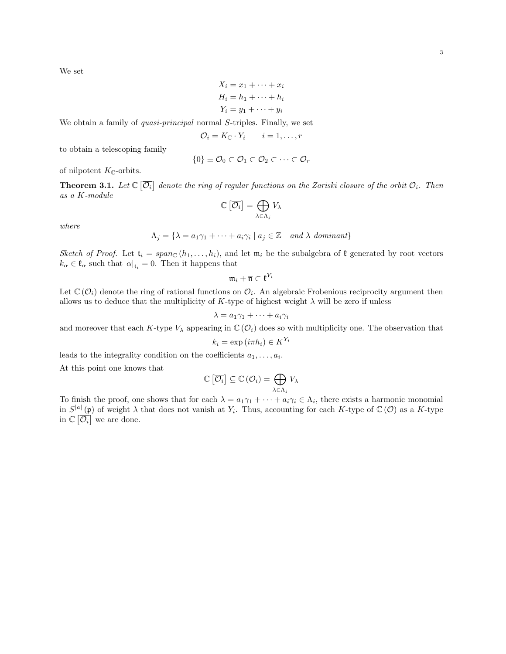We set

$$
X_i = x_1 + \dots + x_i
$$
  
\n
$$
H_i = h_1 + \dots + h_i
$$
  
\n
$$
Y_i = y_1 + \dots + y_i
$$

We obtain a family of *quasi-principal* normal S-triples. Finally, we set

$$
\mathcal{O}_i = K_{\mathbb{C}} \cdot Y_i \qquad i = 1, \dots, r
$$

to obtain a telescoping family

$$
\{0\} \equiv \mathcal{O}_0 \subset \overline{\mathcal{O}_1} \subset \overline{\mathcal{O}_2} \subset \cdots \subset \overline{\mathcal{O}_r}
$$

of nilpotent  $K_{\mathbb{C}}$ -orbits.

**Theorem 3.1.** Let  $\mathbb{C}[\overline{\mathcal{O}_i}]$  denote the ring of regular functions on the Zariski closure of the orbit  $\mathcal{O}_i$ . Then as a K-module

$$
\mathbb{C}\left[\overline{\mathcal{O}_i}\right] = \bigoplus_{\lambda \in \Lambda_j} V_{\lambda}
$$

where

$$
\Lambda_j = \{ \lambda = a_1 \gamma_1 + \dots + a_i \gamma_i \mid a_j \in \mathbb{Z} \text{ and } \lambda \text{ dominant} \}
$$

Sketch of Proof. Let  $t_i = span_{\mathbb{C}} (h_1, \ldots, h_i)$ , and let  $\mathfrak{m}_i$  be the subalgebra of  $\mathfrak{k}$  generated by root vectors  $k_{\alpha} \in \mathfrak{k}_{\alpha}$  such that  $\alpha|_{\mathfrak{t}_i} = 0$ . Then it happens that

$$
\mathfrak{m}_i+\overline{\mathfrak{n}}\subset \mathfrak{k}^{Y_i}
$$

Let  $\mathbb{C}(\mathcal{O}_i)$  denote the ring of rational functions on  $\mathcal{O}_i$ . An algebraic Frobenious reciprocity argument then allows us to deduce that the multiplicity of K-type of highest weight  $\lambda$  will be zero if unless

$$
\lambda = a_1 \gamma_1 + \dots + a_i \gamma_i
$$

and moreover that each K-type  $V_{\lambda}$  appearing in  $\mathbb{C}(\mathcal{O}_i)$  does so with multiplicity one. The observation that

$$
k_i = \exp(i\pi h_i) \in K^{Y_i}
$$

leads to the integrality condition on the coefficients  $a_1, \ldots, a_i$ .

At this point one knows that

$$
\mathbb{C}\left[\overline{\mathcal{O}_i}\right] \subseteq \mathbb{C}\left(\mathcal{O}_i\right) = \bigoplus_{\lambda \in \Lambda_j} V_{\lambda}
$$

To finish the proof, one shows that for each  $\lambda = a_1\gamma_1 + \cdots + a_i\gamma_i \in \Lambda_i$ , there exists a harmonic monomial in  $S^{|a|}(\mathfrak{p})$  of weight  $\lambda$  that does not vanish at  $Y_i$ . Thus, accounting for each K-type of  $\mathbb{C}(\mathcal{O})$  as a K-type in  $\mathbb{C}[\overline{\mathcal{O}_i}]$  we are done.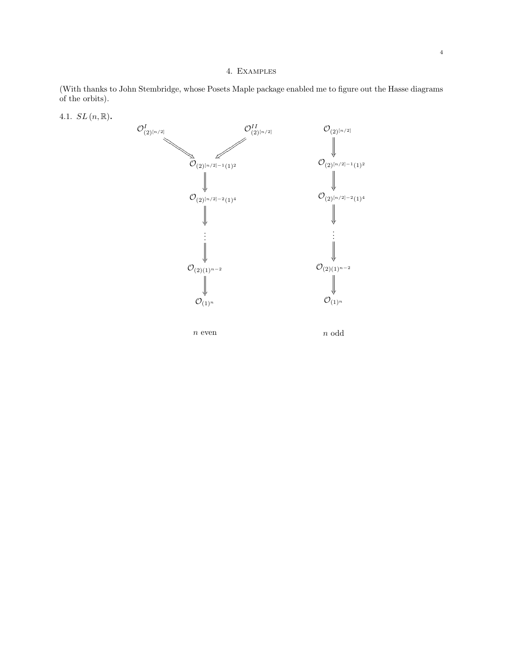## 4. Examples

(With thanks to John Stembridge, whose Posets Maple package enabled me to figure out the Hasse diagrams of the orbits).



4.1.  $SL(n, \mathbb{R})$ .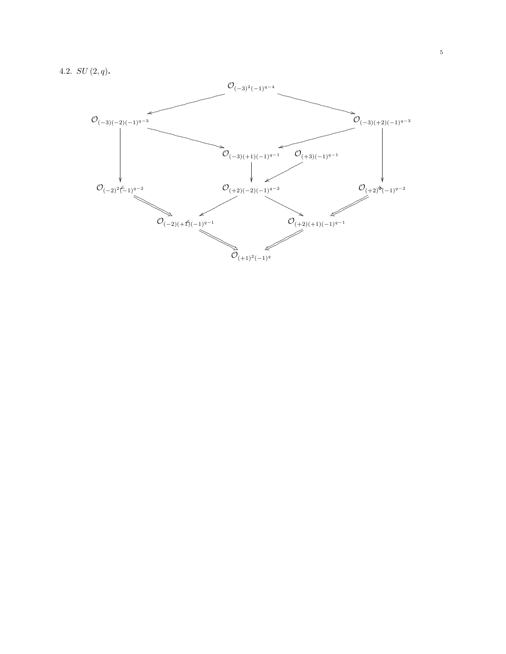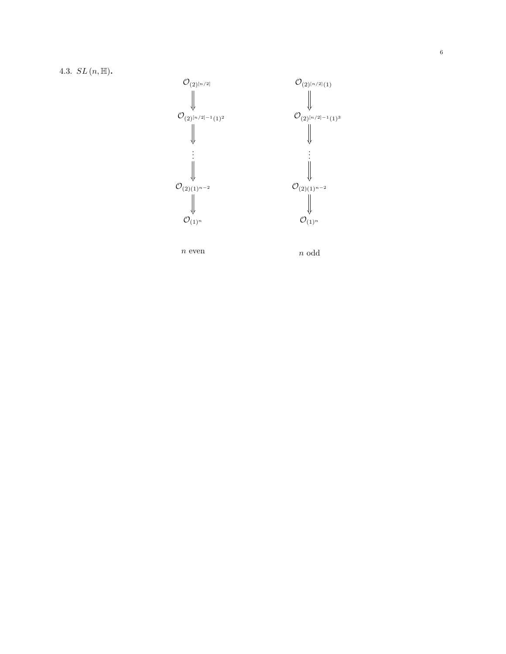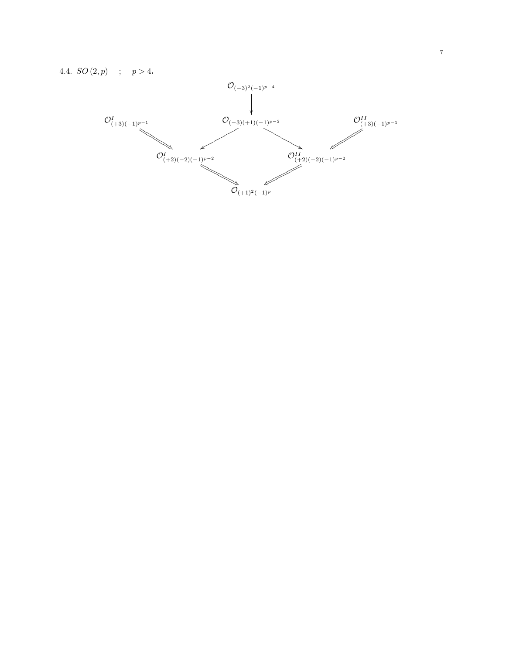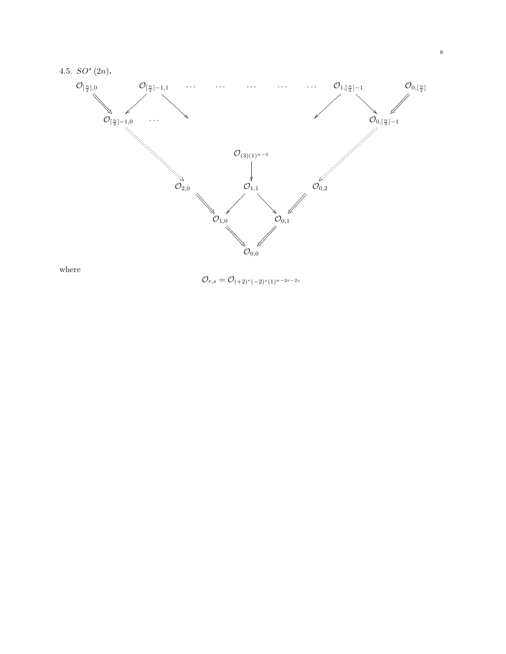

 $\mathcal{O}_{r,s} = \mathcal{O}_{(+2)^r(-2)^s(1)^{n-2r-2s}}$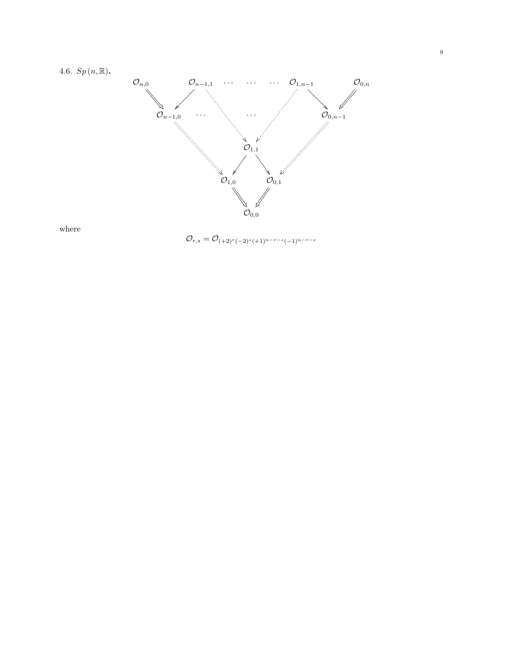

where

 $\mathcal{O}_{r,s} = \mathcal{O}_{(+2)^r(-2)^s(+1)^{n-r-s}(-1)^{n-r-s}}$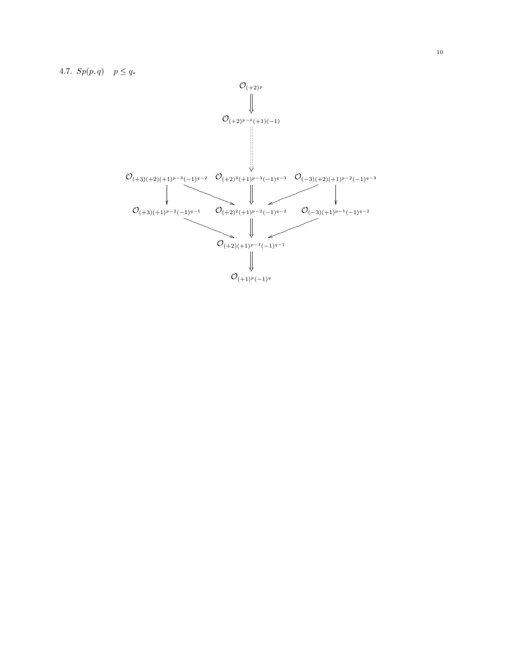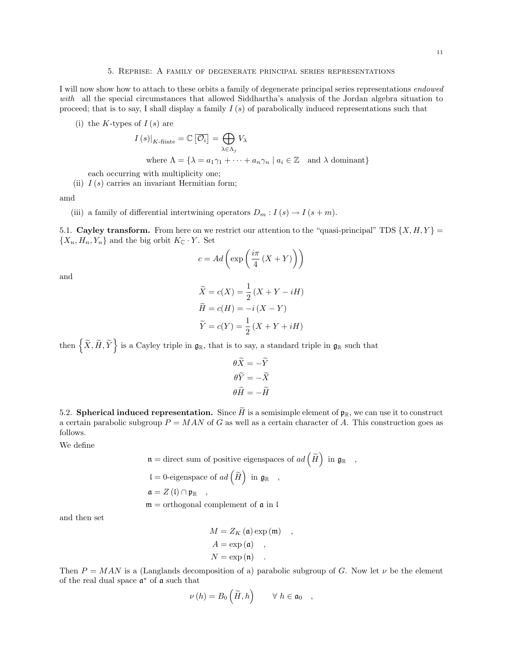#### 5. Reprise: A family of degenerate principal series representations

I will now show how to attach to these orbits a family of degenerate principal series representations endowed with all the special circumstances that allowed Siddhartha's analysis of the Jordan algebra situation to proceed; that is to say, I shall display a family  $I(s)$  of parabolically induced representations such that

(i) the K-types of  $I(s)$  are

$$
I(s)|_{K\text{-finite}} = \mathbb{C} \left[ \overline{\mathcal{O}_i} \right] = \bigoplus_{\lambda \in \Lambda_j} V_{\lambda}
$$
  
where  $\Lambda = \{ \lambda = a_1 \gamma_1 + \dots + a_n \gamma_n \mid a_i \in \mathbb{Z} \text{ and } \lambda \text{ dominant} \}$ 

each occurring with multiplicity one;

(ii)  $I(s)$  carries an invariant Hermitian form;

amd

(iii) a family of differential intertwining operators  $D_m$ :  $I(s) \to I(s+m)$ .

5.1. Cayley transform. From here on we restrict our attention to the "quasi-principal" TDS  $\{X, H, Y\} =$  $\{X_n, H_n, Y_n\}$  and the big orbit  $K_{\mathbb{C}} \cdot Y$ . Set

$$
c = Ad\left(\exp\left(\frac{i\pi}{4}\left(X+Y\right)\right)\right)
$$

and

$$
\widetilde{X} = c(X) = \frac{1}{2} (X + Y - iH)
$$

$$
\widetilde{H} = c(H) = -i (X - Y)
$$

$$
\widetilde{Y} = c(Y) = \frac{1}{2} (X + Y + iH)
$$

then  $\left\{ \widetilde{X},\widetilde{H},\widetilde{Y}\right\}$  is a Cayley triple in  $\mathfrak{g}_{\mathbb{R}},$  that is to say, a standard triple in  $\mathfrak{g}_{\mathbb{R}}$  such that

$$
\theta \tilde{X} = -\tilde{Y}
$$

$$
\theta \tilde{Y} = -\tilde{X}
$$

$$
\theta \tilde{H} = -\tilde{H}
$$

5.2. Spherical induced representation. Since  $\widetilde{H}$  is a semisimple element of  $\mathfrak{p}_\mathbb{R}$ , we can use it to construct a certain parabolic subgroup  $P = MAN$  of G as well as a certain character of A. This construction goes as follows.

We define

$$
\mathfrak{n} =
$$
 direct sum of positive eigenspaces of  $ad\left(\widetilde{H}\right)$  in  $\mathfrak{g}_{\mathbb{R}}$ , \n $\mathfrak{l} = 0$ -eigenspace of  $ad\left(\widetilde{H}\right)$  in  $\mathfrak{g}_{\mathbb{R}}$ , \n $\mathfrak{a} = Z(\mathfrak{l}) \cap \mathfrak{p}_{\mathbb{R}}$ , \n $\mathfrak{m} =$  orthogonal complement of  $\mathfrak{a}$  in  $\mathfrak{l}$ 

and then set

$$
M = Z_K (\mathfrak{a}) \exp (\mathfrak{m}) ,
$$
  
\n
$$
A = \exp (\mathfrak{a}) ,
$$
  
\n
$$
N = \exp (\mathfrak{n}) .
$$

Then  $P = MAN$  is a (Langlands decomposition of a) parabolic subgroup of G. Now let  $\nu$  be the element of the real dual space  $\mathfrak{a}^*$  of  $\mathfrak a$  such that

$$
\nu(h) = B_0\left(\widetilde{H}, h\right) \qquad \forall \ h \in \mathfrak{a}_0 \quad ,
$$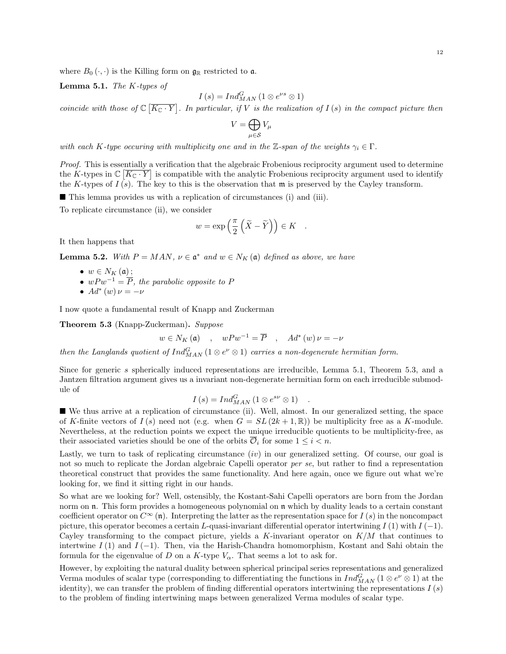where  $B_0(\cdot, \cdot)$  is the Killing form on  $\mathfrak{g}_\mathbb{R}$  restricted to a.

**Lemma 5.1.** The  $K$ -types of

$$
I(s) = Ind_{MAN}^{G} (1 \otimes e^{\nu s} \otimes 1)
$$

coincide with those of  $\mathbb{C}[\overline{K_{\mathbb{C}}\cdot Y}]$ . In particular, if V is the realization of  $I(s)$  in the compact picture then

$$
V=\bigoplus_{\mu\in\mathcal{S}}V_\mu
$$

with each K-type occuring with multiplicity one and in the Z-span of the weights  $\gamma_i \in \Gamma$ .

Proof. This is essentially a verification that the algebraic Frobenious reciprocity argument used to determine the K-types in  $\mathbb{C}[\overline{K_{\mathbb{C}}\cdot Y}]$  is compatible with the analytic Frobenious reciprocity argument used to identify the K-types of  $I(s)$ . The key to this is the observation that  $\mathfrak{m}$  is preserved by the Cayley transform.

This lemma provides us with a replication of circumstances (i) and (iii).

To replicate circumstance (ii), we consider

$$
w = \exp\left(\frac{\pi}{2}\left(\tilde{X} - \tilde{Y}\right)\right) \in K \quad .
$$

It then happens that

**Lemma 5.2.** With  $P = MAN$ ,  $\nu \in \mathfrak{a}^*$  and  $w \in N_K(\mathfrak{a})$  defined as above, we have

• 
$$
w \in N_K(\mathfrak{a})
$$
 ;

- $w P w^{-1} = \overline{P}$ , the parabolic opposite to P
- $Ad^*(w)\nu = -\nu$

I now quote a fundamental result of Knapp and Zuckerman

Theorem 5.3 (Knapp-Zuckerman). Suppose

 $w \in N_K(\mathfrak{a})$ ,  $wPw^{-1} = \overline{P}$ ,  $Ad^*(w) \nu = -\nu$ 

then the Langlands quotient of  $Ind_{MAN}^G (1 \otimes e^{\nu} \otimes 1)$  carries a non-degenerate hermitian form.

Since for generic s spherically induced representations are irreducible, Lemma 5.1, Theorem 5.3, and a Jantzen filtration argument gives us a invariant non-degenerate hermitian form on each irreducible submodule of

$$
I(s) = Ind_{MAN}^{G} (1 \otimes e^{s\nu} \otimes 1) .
$$

 We thus arrive at a replication of circumstance (ii). Well, almost. In our generalized setting, the space of K-finite vectors of  $I(s)$  need not (e.g. when  $G = SL(2k+1, \mathbb{R})$ ) be multiplicity free as a K-module. Nevertheless, at the reduction points we expect the unique irreducible quotients to be multiplicity-free, as their associated varieties should be one of the orbits  $\overline{\mathcal{O}}_i$  for some  $1 \leq i \leq n$ .

Lastly, we turn to task of replicating circumstance  $(iv)$  in our generalized setting. Of course, our goal is not so much to replicate the Jordan algebraic Capelli operator *per se*, but rather to find a representation theoretical construct that provides the same functionality. And here again, once we figure out what we're looking for, we find it sitting right in our hands.

So what are we looking for? Well, ostensibly, the Kostant-Sahi Capelli operators are born from the Jordan norm on **n**. This form provides a homogeneous polynomial on **n** which by duality leads to a certain constant coefficient operator on  $C^{\infty}$  (n). Interpreting the latter as the representation space for  $I(s)$  in the noncompact picture, this operator becomes a certain L-quasi-invariant differential operator intertwining  $I(1)$  with  $I(-1)$ . Cayley transforming to the compact picture, yields a K-invariant operator on  $K/M$  that continues to intertwine  $I(1)$  and  $I(-1)$ . Then, via the Harish-Chandra homomorphism, Kostant and Sahi obtain the formula for the eigenvalue of D on a K-type  $V_{\alpha}$ . That seems a lot to ask for.

However, by exploiting the natural duality between spherical principal series representations and generalized Verma modules of scalar type (corresponding to differentiating the functions in  $Ind_{MAN}^G$  (1  $\otimes e^{\nu} \otimes 1$ ) at the identity), we can transfer the problem of finding differential operators intertwining the representations  $I(s)$ to the problem of finding intertwining maps between generalized Verma modules of scalar type.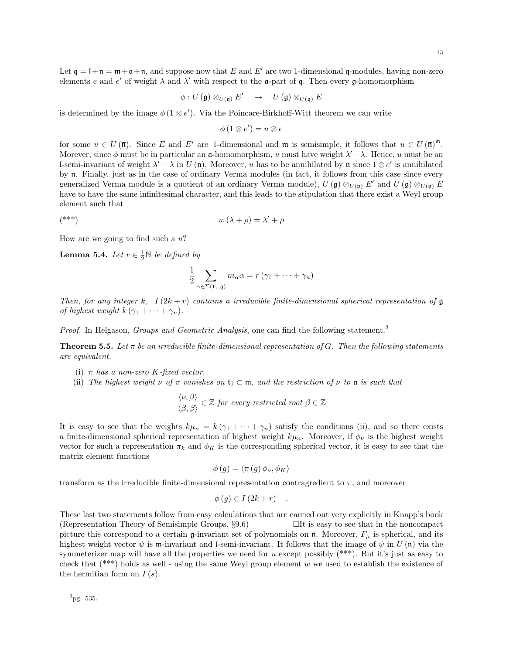Let  $\mathfrak{q} = \mathfrak{l} + \mathfrak{n} = \mathfrak{m} + \mathfrak{a} + \mathfrak{n}$ , and suppose now that E and E' are two 1-dimensional q-modules, having non-zero elements e and e' of weight  $\lambda$  and  $\lambda'$  with respect to the **a**-part of **q**. Then every **g**-homomorphism

$$
\phi: U\left(\mathfrak g\right)\otimes_{U(\mathfrak q)} E'\quad\rightarrow\quad U\left(\mathfrak g\right)\otimes_{U(\mathfrak q)} E
$$

is determined by the image  $\phi(1 \otimes e')$ . Via the Poincare-Birkhoff-Witt theorem we can write

$$
\phi(1\otimes e')=u\otimes e
$$

for some  $u \in U(\overline{\mathfrak{n}})$ . Since E and E' are 1-dimensional and  $\mathfrak{m}$  is semisimple, it follows that  $u \in U(\overline{\mathfrak{n}})^{\mathfrak{m}}$ . Morever, since  $\phi$  must be in particular an a-homomorphism, u must have weight  $\lambda' - \lambda$ . Hence, u must be an l-semi-invariant of weight  $\lambda' - \lambda$  in U ( $\overline{n}$ ). Moreover, u has to be annihilated by n since  $1 \otimes e'$  is annihilated by n. Finally, just as in the case of ordinary Verma modules (in fact, it follows from this case since every generalized Verma module is a quotient of an ordinary Verma module),  $U(\mathfrak{g}) \otimes_{U(\mathfrak{p})} E'$  and  $U(\mathfrak{g}) \otimes_{U(\mathfrak{p})} E$ have to have the same infinitesimal character, and this leads to the stipulation that there exist a Weyl group element such that

$$
w(\lambda + \rho) = \lambda' + \rho
$$

How are we going to find such a  $u$ ?

**Lemma 5.4.** Let  $r \in \frac{1}{2}N$  be defined by

$$
\frac{1}{2} \sum_{\alpha \in \Sigma(\mathfrak{t}_1, \mathfrak{g})} m_{\alpha} \alpha = r \left( \gamma_1 + \dots + \gamma_n \right)
$$

Then, for any integer k,  $I(2k+r)$  contains a irreducible finite-dimensional spherical representation of  $\mathfrak g$ of highest weight  $k(\gamma_1 + \cdots + \gamma_n)$ .

Proof. In Helgason, Groups and Geometric Analysis, one can find the following statement.<sup>3</sup>

**Theorem 5.5.** Let  $\pi$  be an irreducible finite-dimensional representation of G. Then the following statements are equivalent.

- (i)  $\pi$  has a non-zero K-fixed vector.
- (ii) The highest weight  $\nu$  of  $\pi$  vanishes on  $t_0 \subset \mathfrak{m}$ , and the restriction of  $\nu$  to  $\mathfrak{a}$  is such that

$$
\frac{\langle \nu, \beta \rangle}{\langle \beta, \beta \rangle} \in \mathbb{Z} \text{ for every restricted root } \beta \in \mathbb{Z}
$$

It is easy to see that the weights  $k\mu_n = k(\gamma_1 + \cdots + \gamma_n)$  satisfy the conditions (ii), and so there exists a finite-dimensional spherical representation of highest weight  $k\mu_n$ . Moreover, if  $\phi_\nu$  is the highest weight vector for such a representation  $\pi_k$  and  $\phi_K$  is the corresponding spherical vector, it is easy to see that the matrix element functions

$$
\phi(g) = \langle \pi(g) \phi_{\nu}, \phi_{K} \rangle
$$

transform as the irreducible finite-dimensional representation contragredient to  $\pi$ , and moreover

$$
\phi(g) \in I(2k+r) \quad .
$$

These last two statements follow from easy calculations that are carried out very explicitly in Knapp's book (Representation Theory of Semisimple Groups,  $\S 9.6$ )  $\Box$  It is easy to see that in the noncompact picture this correspond to a certain g-invariant set of polynomials on  $\overline{\mathfrak{n}}$ . Moreover,  $F_{\mu}$  is spherical, and its highest weight vector  $\psi$  is m-invariant and l-semi-invariant. It follows that the image of  $\psi$  in U (n) via the symmeterizer map will have all the properties we need for  $u$  except possibly  $(***)$ . But it's just as easy to check that  $(**)$  holds as well - using the same Weyl group element w we used to establish the existence of the hermitian form on  $I(s)$ .

 $3$ pg. 535.